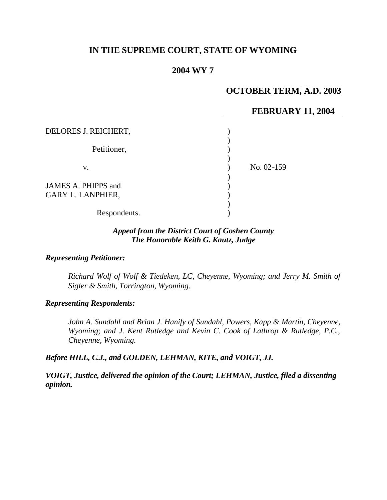# **IN THE SUPREME COURT, STATE OF WYOMING**

# **2004 WY 7**

# **OCTOBER TERM, A.D. 2003**

### **FEBRUARY 11, 2004**

| DELORES J. REICHERT,                            |            |
|-------------------------------------------------|------------|
| Petitioner,                                     |            |
| V.                                              | No. 02-159 |
| JAMES A. PHIPPS and<br><b>GARY L. LANPHIER,</b> |            |
| Respondents.                                    |            |

#### *Appeal from the District Court of Goshen County The Honorable Keith G. Kautz, Judge*

#### *Representing Petitioner:*

*Richard Wolf of Wolf & Tiedeken, LC, Cheyenne, Wyoming; and Jerry M. Smith of Sigler & Smith, Torrington, Wyoming.*

#### *Representing Respondents:*

John A. Sundahl and Brian J. Hanify of Sundahl, Powers, Kapp & Martin, Cheyenne, *Wyoming; and J. Kent Rutledge and Kevin C. Cook of Lathrop & Rutledge, P.C., Cheyenne, Wyoming.*

### *Before HILL, C.J., and GOLDEN, LEHMAN, KITE, and VOIGT, JJ.*

*VOIGT, Justice, delivered the opinion of the Court; LEHMAN, Justice, filed a dissenting opinion.*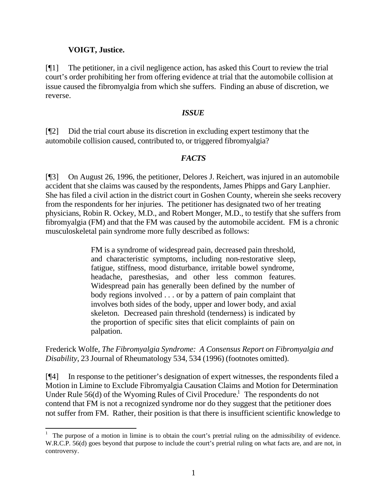### **VOIGT, Justice.**

l

[¶1] The petitioner, in a civil negligence action, has asked this Court to review the trial court's order prohibiting her from offering evidence at trial that the automobile collision at issue caused the fibromyalgia from which she suffers. Finding an abuse of discretion, we reverse.

#### *ISSUE*

[¶2] Did the trial court abuse its discretion in excluding expert testimony that the automobile collision caused, contributed to, or triggered fibromyalgia?

# *FACTS*

[¶3] On August 26, 1996, the petitioner, Delores J. Reichert, was injured in an automobile accident that she claims was caused by the respondents, James Phipps and Gary Lanphier. She has filed a civil action in the district court in Goshen County, wherein she seeks recovery from the respondents for her injuries. The petitioner has designated two of her treating physicians, Robin R. Ockey, M.D., and Robert Monger, M.D., to testify that she suffers from fibromyalgia (FM) and that the FM was caused by the automobile accident. FM is a chronic musculoskeletal pain syndrome more fully described as follows:

> FM is a syndrome of widespread pain, decreased pain threshold, and characteristic symptoms, including non-restorative sleep, fatigue, stiffness, mood disturbance, irritable bowel syndrome, headache, paresthesias, and other less common features. Widespread pain has generally been defined by the number of body regions involved . . . or by a pattern of pain complaint that involves both sides of the body, upper and lower body, and axial skeleton. Decreased pain threshold (tenderness) is indicated by the proportion of specific sites that elicit complaints of pain on palpation.

Frederick Wolfe, *The Fibromyalgia Syndrome: A Consensus Report on Fibromyalgia and Disability*, 23 Journal of Rheumatology 534, 534 (1996) (footnotes omitted).

[¶4] In response to the petitioner's designation of expert witnesses, the respondents filed a Motion in Limine to Exclude Fibromyalgia Causation Claims and Motion for Determination Under Rule  $56(d)$  of the Wyoming Rules of Civil Procedure.<sup>1</sup> The respondents do not contend that FM is not a recognized syndrome nor do they suggest that the petitioner does not suffer from FM. Rather, their position is that there is insufficient scientific knowledge to

<sup>&</sup>lt;sup>1</sup> The purpose of a motion in limine is to obtain the court's pretrial ruling on the admissibility of evidence. W.R.C.P. 56(d) goes beyond that purpose to include the court's pretrial ruling on what facts are, and are not, in controversy.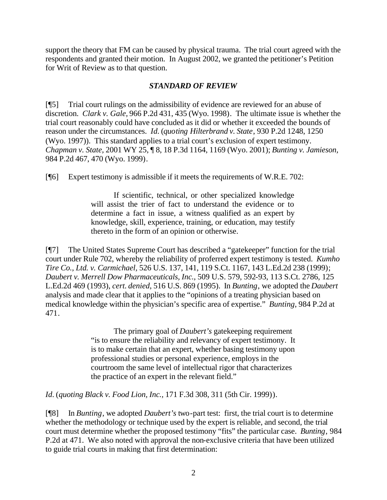support the theory that FM can be caused by physical trauma. The trial court agreed with the respondents and granted their motion. In August 2002, we granted the petitioner's Petition for Writ of Review as to that question.

### *STANDARD OF REVIEW*

[¶5] Trial court rulings on the admissibility of evidence are reviewed for an abuse of discretion. *Clark v. Gale,* 966 P.2d 431, 435 (Wyo. 1998). The ultimate issue is whether the trial court reasonably could have concluded as it did or whether it exceeded the bounds of reason under the circumstances. *Id.* (*quoting Hilterbrand v. State*, 930 P.2d 1248, 1250 (Wyo. 1997)). This standard applies to a trial court's exclusion of expert testimony. *Chapman v. State,* 2001 WY 25, ¶ 8, 18 P.3d 1164, 1169 (Wyo. 2001); *Bunting v. Jamieson,*  984 P.2d 467, 470 (Wyo. 1999).

[¶6] Expert testimony is admissible if it meets the requirements of W.R.E. 702:

If scientific, technical, or other specialized knowledge will assist the trier of fact to understand the evidence or to determine a fact in issue, a witness qualified as an expert by knowledge, skill, experience, training, or education, may testify thereto in the form of an opinion or otherwise.

[¶7] The United States Supreme Court has described a "gatekeeper" function for the trial court under Rule 702, whereby the reliability of proferred expert testimony is tested. *Kumho Tire Co., Ltd. v. Carmichael,* 526 U.S. 137, 141, 119 S.Ct. 1167, 143 L.Ed.2d 238 (1999); *Daubert v. Merrell Dow Pharmaceuticals, Inc.,* 509 U.S. 579, 592-93, 113 S.Ct. 2786, 125 L.Ed.2d 469 (1993), *cert. denied*, 516 U.S. 869 (1995). In *Bunting*, we adopted the *Daubert* analysis and made clear that it applies to the "opinions of a treating physician based on medical knowledge within the physician's specific area of expertise." *Bunting*, 984 P.2d at 471.

> The primary goal of *Daubert's* gatekeeping requirement "is to ensure the reliability and relevancy of expert testimony. It is to make certain that an expert, whether basing testimony upon professional studies or personal experience, employs in the courtroom the same level of intellectual rigor that characterizes the practice of an expert in the relevant field."

*Id.* (*quoting Black v. Food Lion, Inc.,* 171 F.3d 308, 311 (5th Cir. 1999)).

[¶8] In *Bunting*, we adopted *Daubert's* two-part test: first, the trial court is to determine whether the methodology or technique used by the expert is reliable, and second, the trial court must determine whether the proposed testimony "fits" the particular case. *Bunting*, 984 P.2d at 471. We also noted with approval the non-exclusive criteria that have been utilized to guide trial courts in making that first determination: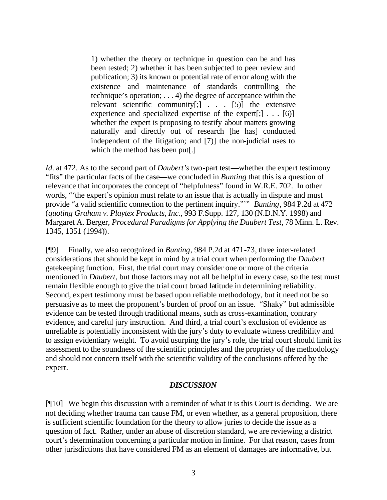1) whether the theory or technique in question can be and has been tested; 2) whether it has been subjected to peer review and publication; 3) its known or potential rate of error along with the existence and maintenance of standards controlling the technique's operation; . . . 4) the degree of acceptance within the relevant scientific community[;] . . . [5)] the extensive experience and specialized expertise of the expert $[$ ; $] \ldots [6]$ whether the expert is proposing to testify about matters growing naturally and directly out of research [he has] conducted independent of the litigation; and [7)] the non-judicial uses to which the method has been put[.]

*Id.* at 472. As to the second part of *Daubert's* two-part test—whether the expert testimony "fits" the particular facts of the case—we concluded in *Bunting* that this is a question of relevance that incorporates the concept of "helpfulness" found in W.R.E. 702. In other words, "'the expert's opinion must relate to an issue that is actually in dispute and must provide "a valid scientific connection to the pertinent inquiry."'" *Bunting*, 984 P.2d at 472 (*quoting Graham v. Playtex Products, Inc.,* 993 F.Supp. 127, 130 (N.D.N.Y. 1998) and Margaret A. Berger, *Procedural Paradigms for Applying the Daubert Test*, 78 Minn. L. Rev. 1345, 1351 (1994)).

[¶9] Finally, we also recognized in *Bunting*, 984 P.2d at 471-73, three inter-related considerations that should be kept in mind by a trial court when performing the *Daubert*  gatekeeping function. First, the trial court may consider one or more of the criteria mentioned in *Daubert*, but those factors may not all be helpful in every case, so the test must remain flexible enough to give the trial court broad latitude in determining reliability. Second, expert testimony must be based upon reliable methodology, but it need not be so persuasive as to meet the proponent's burden of proof on an issue. "Shaky" but admissible evidence can be tested through traditional means, such as cross-examination, contrary evidence, and careful jury instruction. And third, a trial court's exclusion of evidence as unreliable is potentially inconsistent with the jury's duty to evaluate witness credibility and to assign evidentiary weight. To avoid usurping the jury's role, the trial court should limit its assessment to the soundness of the scientific principles and the propriety of the methodology and should not concern itself with the scientific validity of the conclusions offered by the expert.

#### *DISCUSSION*

[¶10] We begin this discussion with a reminder of what it is this Court is deciding. We are not deciding whether trauma can cause FM, or even whether, as a general proposition, there is sufficient scientific foundation for the theory to allow juries to decide the issue as a question of fact. Rather, under an abuse of discretion standard, we are reviewing a district court's determination concerning a particular motion in limine. For that reason, cases from other jurisdictions that have considered FM as an element of damages are informative, but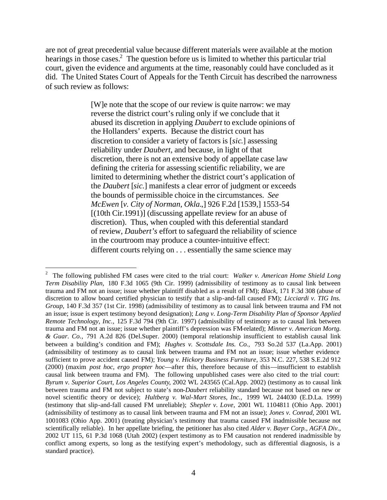are not of great precedential value because different materials were available at the motion hearings in those cases.<sup>2</sup> The question before us is limited to whether this particular trial court, given the evidence and arguments at the time, reasonably could have concluded as it did. The United States Court of Appeals for the Tenth Circuit has described the narrowness of such review as follows:

> [W]e note that the scope of our review is quite narrow: we may reverse the district court's ruling only if we conclude that it abused its discretion in applying *Daubert* to exclude opinions of the Hollanders' experts. Because the district court has discretion to consider a variety of factors is [*sic.*] assessing reliability under *Daubert*, and because, in light of that discretion, there is not an extensive body of appellate case law defining the criteria for assessing scientific reliability, we are limited to determining whether the district court's application of the *Daubert* [*sic.*] manifests a clear error of judgment or exceeds the bounds of permissible choice in the circumstances. *See McEwen* [*v. City of Norman, Okla.*,] 926 F.2d [1539,] 1553-54 [(10th Cir.1991)] (discussing appellate review for an abuse of discretion). Thus, when coupled with this deferential standard of review, *Daubert's* effort to safeguard the reliability of science in the courtroom may produce a counter-intuitive effect: different courts relying on . . . essentially the same science may

<sup>2</sup> The following published FM cases were cited to the trial court: *Walker v. American Home Shield Long Term Disability Plan,* 180 F.3d 1065 (9th Cir. 1999) (admissibility of testimony as to causal link between trauma and FM not an issue; issue whether plaintiff disabled as a result of FM); *Black,* 171 F.3d 308 (abuse of discretion to allow board certified physician to testify that a slip-and-fall caused FM); *Licciardi v. TIG Ins. Group,* 140 F.3d 357 (1st Cir. 1998) (admissibility of testimony as to causal link between trauma and FM not an issue; issue is expert testimony beyond designation); *Lang v. Long-Term Disability Plan of Sponsor Applied Remote Technology, Inc.,* 125 F.3d 794 (9th Cir. 1997) (admissibility of testimony as to causal link between trauma and FM not an issue; issue whether plaintiff's depression was FM-related); *Minner v. American Mortg. & Guar. Co.,* 791 A.2d 826 (Del.Super. 2000) (temporal relationship insufficient to establish causal link between a building's condition and FM); *Hughes v. Scottsdale Ins. Co.,* 793 So.2d 537 (La.App. 2001) (admissibility of testimony as to causal link between trauma and FM not an issue; issue whether evidence sufficient to prove accident caused FM); *Young v. Hickory Business Furniture,* 353 N.C. 227, 538 S.E.2d 912 (2000) (maxim *post hoc, ergo propter hoc*—after this, therefore because of this—insufficient to establish causal link between trauma and FM). The following unpublished cases were also cited to the trial court: *Byrum v. Superior Court, Los Angeles County*, 2002 WL 243565 (Cal.App. 2002) (testimony as to causal link between trauma and FM not subject to state's non-*Daubert* reliability standard because not based on new or novel scientific theory or device); *Hultberg v. Wal-Mart Stores, Inc.,* 1999 WL 244030 (E.D.La. 1999) (testimony that slip-and-fall caused FM unreliable); *Shepler v. Love,* 2001 WL 1104811 (Ohio App. 2001) (admissibility of testimony as to causal link between trauma and FM not an issue); *Jones v. Conrad,* 2001 WL 1001083 (Ohio App. 2001) (treating physician's testimony that trauma caused FM inadmissible because not scientifically reliable). In her appellate briefing, the petitioner has also cited *Alder v. Bayer Corp., AGFA Div.,*  2002 UT 115, 61 P.3d 1068 (Utah 2002) (expert testimony as to FM causation not rendered inadmissible by conflict among experts, so long as the testifying expert's methodology, such as differential diagnosis, is a standard practice).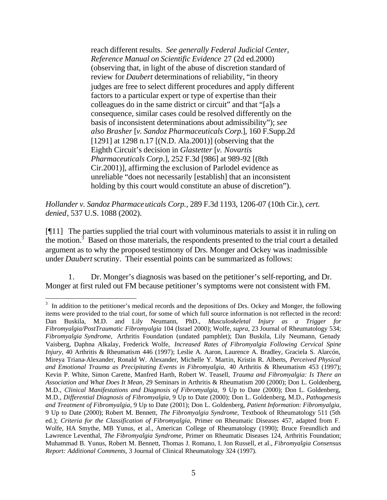reach different results. *See generally Federal Judicial Center, Reference Manual on Scientific Evidence* 27 (2d ed.2000) (observing that, in light of the abuse of discretion standard of review for *Daubert* determinations of reliability, "in theory judges are free to select different procedures and apply different factors to a particular expert or type of expertise than their colleagues do in the same district or circuit" and that "[a]s a consequence, similar cases could be resolved differently on the basis of inconsistent determinations about admissibility"); *see also Brasher* [*v. Sandoz Pharmaceuticals Corp.*], 160 F.Supp.2d [1291] at 1298 n.17 [(N.D. Ala.2001)] (observing that the Eighth Circuit's decision in *Glastetter* [*v. Novartis Pharmaceuticals Corp.*], 252 F.3d [986] at 989-92 [(8th Cir.2001)], affirming the exclusion of Parlodel evidence as unreliable "does not necessarily [establish] that an inconsistent holding by this court would constitute an abuse of discretion").

*Hollander v. Sandoz Pharmaceuticals Corp.,* 289 F.3d 1193, 1206-07 (10th Cir.), *cert. denied*, 537 U.S. 1088 (2002).

[¶11] The parties supplied the trial court with voluminous materials to assist it in ruling on the motion.<sup>3</sup> Based on those materials, the respondents presented to the trial court a detailed argument as to why the proposed testimony of Drs. Monger and Ockey was inadmissible under *Daubert* scrutiny. Their essential points can be summarized as follows:

1. Dr. Monger's diagnosis was based on the petitioner's self-reporting, and Dr. Monger at first ruled out FM because petitioner's symptoms were not consistent with FM.

 $3\,$  In addition to the petitioner's medical records and the depositions of Drs. Ockey and Monger, the following items were provided to the trial court, for some of which full source information is not reflected in the record: Dan Buskila, M.D. and Lily Neumann, PhD., *Musculoskeletal Injury as a Trigger for Fibromyalgia/PostTraumatic Fibromyalgia* 104 (Israel 2000); Wolfe, *supra,* 23 Journal of Rheumatology 534; *Fibromyalgia Syndrome,* Arthritis Foundation (undated pamphlet); Dan Buskila, Lily Neumann, Genady Vaisberg, Daphna Alkalay, Frederick Wolfe, *Increased Rates of Fibromyalgia Following Cervical Spine Injury,* 40 Arthritis & Rheumatism 446 (1997); Leslie A. Aaron, Laurence A. Bradley, Graciela S. Alarcón, Mireya Triana-Alexander, Ronald W. Alexander, Michelle Y. Martin, Kristin R. Alberts, *Perceived Physical and Emotional Trauma as Precipitating Events in Fibromyalgia,* 40 Arthritis & Rheumatism 453 (1997); Kevin P. White, Simon Carette, Manfred Harth, Robert W. Teasell, *Trauma and Fibromyalgia: Is There an Association and What Does It Mean,* 29 Seminars in Arthritis & Rheumatism 200 (2000); Don L. Goldenberg, M.D., *Clinical Manifestations and Diagnosis of Fibromyalgia,* 9 Up to Date (2000); Don L. Goldenberg, M.D., *Differential Diagnosis of Fibromyalgia,* 9 Up to Date (2000); Don L. Goldenberg, M.D., *Pathogenesis and Treatment of Fibromyalgia,* 9 Up to Date (2001); Don L. Goldenberg, *Patient Information: Fibromyalgia,*  9 Up to Date (2000); Robert M. Bennett, *The Fibromyalgia Syndrome,* Textbook of Rheumatology 511 (5th ed.); *Criteria for the Classification of Fibromyalgia,* Primer on Rheumatic Diseases 457, adapted from F. Wolfe, HA Smythe, MB Yunus, et al., American College of Rheumatology (1990); Bruce Freundlich and Lawrence Leventhal, *The Fibromyalgia Syndrome,* Primer on Rheumatic Diseases 124, Arthritis Foundation; Muhammad B. Yunus, Robert M. Bennett, Thomas J. Romano, I. Jon Russell, et al., *Fibromyalgia Consensus Report: Additional Comments,* 3 Journal of Clinical Rheumatology 324 (1997).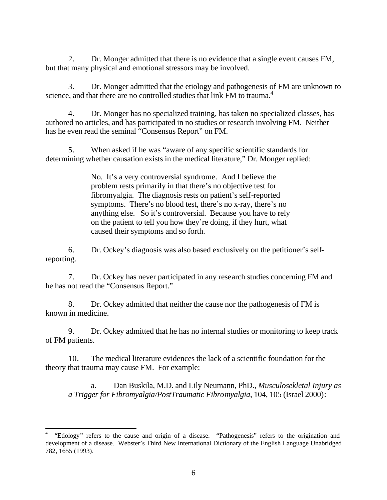2. Dr. Monger admitted that there is no evidence that a single event causes FM, but that many physical and emotional stressors may be involved.

3. Dr. Monger admitted that the etiology and pathogenesis of FM are unknown to science, and that there are no controlled studies that link FM to trauma.<sup>4</sup>

4. Dr. Monger has no specialized training, has taken no specialized classes, has authored no articles, and has participated in no studies or research involving FM. Neither has he even read the seminal "Consensus Report" on FM.

5. When asked if he was "aware of any specific scientific standards for determining whether causation exists in the medical literature," Dr. Monger replied:

> No. It's a very controversial syndrome. And I believe the problem rests primarily in that there's no objective test for fibromyalgia. The diagnosis rests on patient's self-reported symptoms. There's no blood test, there's no x-ray, there's no anything else. So it's controversial. Because you have to rely on the patient to tell you how they're doing, if they hurt, what caused their symptoms and so forth.

6. Dr. Ockey's diagnosis was also based exclusively on the petitioner's selfreporting.

7. Dr. Ockey has never participated in any research studies concerning FM and he has not read the "Consensus Report."

8. Dr. Ockey admitted that neither the cause nor the pathogenesis of FM is known in medicine.

9. Dr. Ockey admitted that he has no internal studies or monitoring to keep track of FM patients.

10. The medical literature evidences the lack of a scientific foundation for the theory that trauma may cause FM. For example:

a. Dan Buskila, M.D. and Lily Neumann, PhD., *Musculosekletal Injury as a Trigger for Fibromyalgia/PostTraumatic Fibromyalgia*, 104, 105 (Israel 2000):

<sup>4</sup> "Etiology" refers to the cause and origin of a disease. "Pathogenesis" refers to the origination and development of a disease. Webster's Third New International Dictionary of the English Language Unabridged 782, 1655 (1993).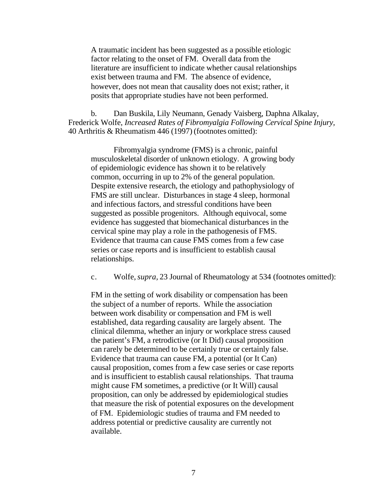A traumatic incident has been suggested as a possible etiologic factor relating to the onset of FM. Overall data from the literature are insufficient to indicate whether causal relationships exist between trauma and FM. The absence of evidence, however, does not mean that causality does not exist; rather, it posits that appropriate studies have not been performed.

b. Dan Buskila, Lily Neumann, Genady Vaisberg, Daphna Alkalay, Frederick Wolfe, *Increased Rates of Fibromyalgia Following Cervical Spine Injury,*  40 Arthritis & Rheumatism 446 (1997) (footnotes omitted):

Fibromyalgia syndrome (FMS) is a chronic, painful musculoskeletal disorder of unknown etiology. A growing body of epidemiologic evidence has shown it to be relatively common, occurring in up to 2% of the general population. Despite extensive research, the etiology and pathophysiology of FMS are still unclear. Disturbances in stage 4 sleep, hormonal and infectious factors, and stressful conditions have been suggested as possible progenitors. Although equivocal, some evidence has suggested that biomechanical disturbances in the cervical spine may play a role in the pathogenesis of FMS. Evidence that trauma can cause FMS comes from a few case series or case reports and is insufficient to establish causal relationships.

c. Wolfe, *supra,* 23 Journal of Rheumatology at 534 (footnotes omitted):

FM in the setting of work disability or compensation has been the subject of a number of reports. While the association between work disability or compensation and FM is well established, data regarding causality are largely absent. The clinical dilemma, whether an injury or workplace stress caused the patient's FM, a retrodictive (or It Did) causal proposition can rarely be determined to be certainly true or certainly false. Evidence that trauma can cause FM, a potential (or It Can) causal proposition, comes from a few case series or case reports and is insufficient to establish causal relationships. That trauma might cause FM sometimes, a predictive (or It Will) causal proposition, can only be addressed by epidemiological studies that measure the risk of potential exposures on the development of FM. Epidemiologic studies of trauma and FM needed to address potential or predictive causality are currently not available.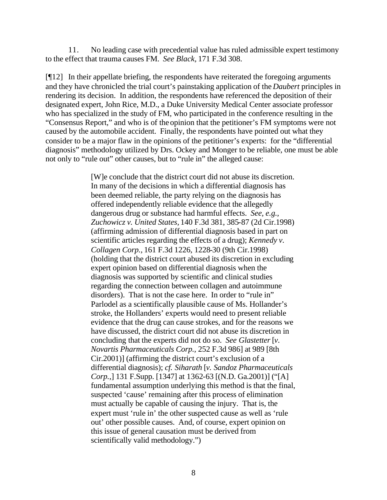11. No leading case with precedential value has ruled admissible expert testimony to the effect that trauma causes FM. *See Black,* 171 F.3d 308.

[¶12] In their appellate briefing, the respondents have reiterated the foregoing arguments and they have chronicled the trial court's painstaking application of the *Daubert* principles in rendering its decision. In addition, the respondents have referenced the deposition of their designated expert, John Rice, M.D., a Duke University Medical Center associate professor who has specialized in the study of FM, who participated in the conference resulting in the "Consensus Report," and who is of the opinion that the petitioner's FM symptoms were not caused by the automobile accident. Finally, the respondents have pointed out what they consider to be a major flaw in the opinions of the petitioner's experts: for the "differential diagnosis" methodology utilized by Drs. Ockey and Monger to be reliable, one must be able not only to "rule out" other causes, but to "rule in" the alleged cause:

> [W]e conclude that the district court did not abuse its discretion. In many of the decisions in which a differential diagnosis has been deemed reliable, the party relying on the diagnosis has offered independently reliable evidence that the allegedly dangerous drug or substance had harmful effects. *See, e.g., Zuchowicz v. United States,* 140 F.3d 381, 385-87 (2d Cir.1998) (affirming admission of differential diagnosis based in part on scientific articles regarding the effects of a drug); *Kennedy v. Collagen Corp.,* 161 F.3d 1226, 1228-30 (9th Cir.1998) (holding that the district court abused its discretion in excluding expert opinion based on differential diagnosis when the diagnosis was supported by scientific and clinical studies regarding the connection between collagen and autoimmune disorders). That is not the case here. In order to "rule in" Parlodel as a scientifically plausible cause of Ms. Hollander's stroke, the Hollanders' experts would need to present reliable evidence that the drug can cause strokes, and for the reasons we have discussed, the district court did not abuse its discretion in concluding that the experts did not do so. *See Glastetter* [*v. Novartis Pharmaceuticals Corp.,* 252 F.3d 986] at 989 [8th Cir.2001)] (affirming the district court's exclusion of a differential diagnosis); *cf. Siharath* [*v. Sandoz Pharmaceuticals Corp.,*] 131 F.Supp. [1347] at 1362-63 [(N.D. Ga.2001)] ("[A] fundamental assumption underlying this method is that the final, suspected 'cause' remaining after this process of elimination must actually be capable of causing the injury. That is, the expert must 'rule in' the other suspected cause as well as 'rule out' other possible causes. And, of course, expert opinion on this issue of general causation must be derived from scientifically valid methodology.")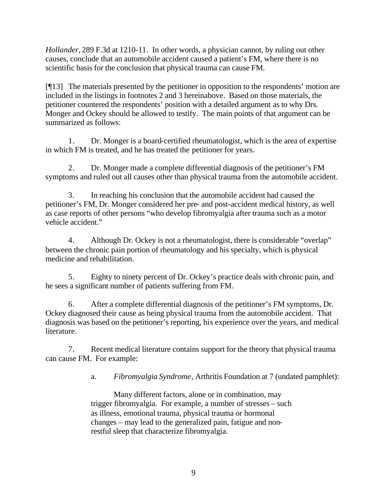*Hollander,* 289 F.3d at 1210-11. In other words, a physician cannot, by ruling out other causes, conclude that an automobile accident caused a patient's FM, where there is no scientific basis for the conclusion that physical trauma can cause FM.

[¶13] The materials presented by the petitioner in opposition to the respondents' motion are included in the listings in footnotes 2 and 3 hereinabove. Based on those materials, the petitioner countered the respondents' position with a detailed argument as to why Drs. Monger and Ockey should be allowed to testify. The main points of that argument can be summarized as follows:

1. Dr. Monger is a board-certified rheumatologist, which is the area of expertise in which FM is treated, and he has treated the petitioner for years.

2. Dr. Monger made a complete differential diagnosis of the petitioner's FM symptoms and ruled out all causes other than physical trauma from the automobile accident.

3. In reaching his conclusion that the automobile accident had caused the petitioner's FM, Dr. Monger considered her pre- and post-accident medical history, as well as case reports of other persons "who develop fibromyalgia after trauma such as a motor vehicle accident."

4. Although Dr. Ockey is not a rheumatologist, there is considerable "overlap" between the chronic pain portion of rheumatology and his specialty, which is physical medicine and rehabilitation.

5. Eighty to ninety percent of Dr. Ockey's practice deals with chronic pain, and he sees a significant number of patients suffering from FM.

6. After a complete differential diagnosis of the petitioner's FM symptoms, Dr. Ockey diagnosed their cause as being physical trauma from the automobile accident. That diagnosis was based on the petitioner's reporting, his experience over the years, and medical literature.

7. Recent medical literature contains support for the theory that physical trauma can cause FM. For example:

a. *Fibromyalgia Syndrome*, Arthritis Foundation at 7 (undated pamphlet):

Many different factors, alone or in combination, may trigger fibromyalgia. For example, a number of stresses – such as illness, emotional trauma, physical trauma or hormonal changes – may lead to the generalized pain, fatigue and nonrestful sleep that characterize fibromyalgia.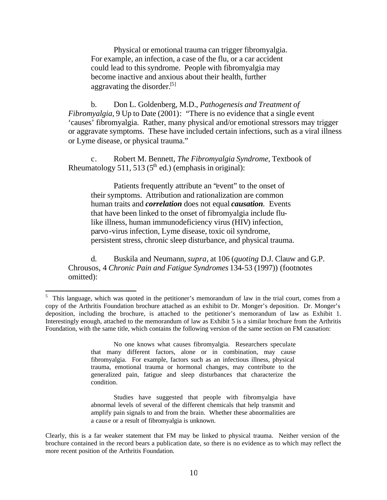Physical or emotional trauma can trigger fibromyalgia. For example, an infection, a case of the flu, or a car accident could lead to this syndrome. People with fibromyalgia may become inactive and anxious about their health, further aggravating the disorder.<sup>[5]</sup>

b. Don L. Goldenberg, M.D., *Pathogenesis and Treatment of Fibromyalgia*, 9 Up to Date (2001): "There is no evidence that a single event 'causes' fibromyalgia. Rather, many physical and/or emotional stressors may trigger or aggravate symptoms. These have included certain infections, such as a viral illness or Lyme disease, or physical trauma."

c. Robert M. Bennett, *The Fibromyalgia Syndrome,* Textbook of Rheumatology 511, 513 ( $5<sup>th</sup>$  ed.) (emphasis in original):

Patients frequently attribute an "event" to the onset of their symptoms. Attribution and rationalization are common human traits and *correlation* does not equal *causation.* Events that have been linked to the onset of fibromyalgia include flulike illness, human immunodeficiency virus (HIV) infection, parvo-virus infection, Lyme disease, toxic oil syndrome, persistent stress, chronic sleep disturbance, and physical trauma.

d. Buskila and Neumann, *supra*, at 106 (*quoting* D.J. Clauw and G.P. Chrousos, 4 *Chronic Pain and Fatigue Syndromes* 134-53 (1997)) (footnotes omitted):

l

No one knows what causes fibromyalgia. Researchers speculate that many different factors, alone or in combination, may cause fibromyalgia. For example, factors such as an infectious illness, physical trauma, emotional trauma or hormonal changes, may contribute to the generalized pain, fatigue and sleep disturbances that characterize the condition.

Studies have suggested that people with fibromyalgia have abnormal levels of several of the different chemicals that help transmit and amplify pain signals to and from the brain. Whether these abnormalities are a cause or a result of fibromyalgia is unknown.

<sup>5</sup> This language, which was quoted in the petitioner's memorandum of law in the trial court, comes from a copy of the Arthritis Foundation brochure attached as an exhibit to Dr. Monger's deposition. Dr. Monger's deposition, including the brochure, is attached to the petitioner's memorandum of law as Exhibit 1. Interestingly enough, attached to the memorandum of law as Exhibit 5 is a similar brochure from the Arthritis Foundation, with the same title, which contains the following version of the same section on FM causation:

Clearly, this is a far weaker statement that FM may be linked to physical trauma. Neither version of the brochure contained in the record bears a publication date, so there is no evidence as to which may reflect the more recent position of the Arthritis Foundation.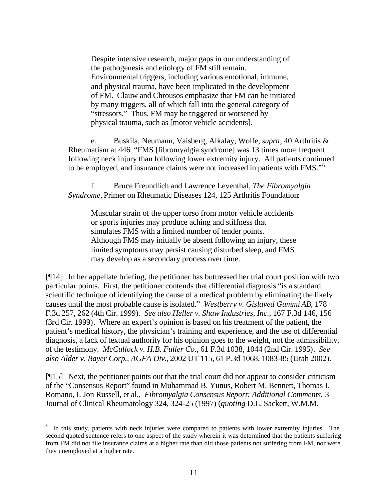Despite intensive research, major gaps in our understanding of the pathogenesis and etiology of FM still remain. Environmental triggers, including various emotional, immune, and physical trauma, have been implicated in the development of FM. Clauw and Chrousos emphasize that FM can be initiated by many triggers, all of which fall into the general category of "stressors." Thus, FM may be triggered or worsened by physical trauma, such as [motor vehicle accidents].

e. Buskila, Neumann, Vaisberg, Alkalay, Wolfe, *supra*, 40 Arthritis & Rheumatism at 446: "FMS [fibromyalgia syndrome] was 13 times more frequent following neck injury than following lower extremity injury. All patients continued to be employed, and insurance claims were not increased in patients with FMS."<sup>6</sup>

f. Bruce Freundlich and Lawrence Leventhal, *The Fibromyalgia Syndrome,* Primer on Rheumatic Diseases 124, 125 Arthritis Foundation:

Muscular strain of the upper torso from motor vehicle accidents or sports injuries may produce aching and stiffness that simulates FMS with a limited number of tender points. Although FMS may initially be absent following an injury, these limited symptoms may persist causing disturbed sleep, and FMS may develop as a secondary process over time.

[¶14] In her appellate briefing, the petitioner has buttressed her trial court position with two particular points. First, the petitioner contends that differential diagnosis "is a standard scientific technique of identifying the cause of a medical problem by eliminating the likely causes until the most probable cause is isolated." *Westberry v. Gislaved Gummi AB,* 178 F.3d 257, 262 (4th Cir. 1999). *See also Heller v. Shaw Industries, Inc.,* 167 F.3d 146, 156 (3rd Cir. 1999). Where an expert's opinion is based on his treatment of the patient, the patient's medical history, the physician's training and experience, and the use of differential diagnosis, a lack of textual authority for his opinion goes to the weight, not the admissibility, of the testimony. *McCullock v. H.B. Fuller Co.,* 61 F.3d 1038, 1044 (2nd Cir. 1995). *See also Alder v. Bayer Corp., AGFA Div.*, 2002 UT 115, 61 P.3d 1068, 1083-85 (Utah 2002).

[¶15] Next, the petitioner points out that the trial court did not appear to consider criticism of the "Consensus Report" found in Muhammad B. Yunus, Robert M. Bennett, Thomas J. Romano, I. Jon Russell, et al., *Fibromyalgia Consensus Report: Additional Comments*, 3 Journal of Clinical Rheumatology 324, 324-25 (1997) (*quoting* D.L. Sackett, W.M.M.

<sup>6</sup> In this study, patients with neck injuries were compared to patients with lower extremity injuries. The second quoted sentence refers to one aspect of the study wherein it was determined that the patients suffering from FM did not file insurance claims at a higher rate than did those patients not suffering from FM, nor were they unemployed at a higher rate.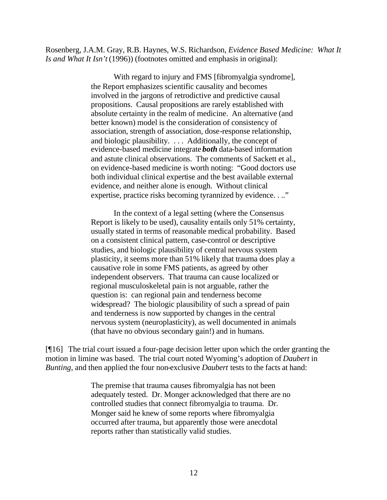Rosenberg, J.A.M. Gray, R.B. Haynes, W.S. Richardson, *Evidence Based Medicine: What It Is and What It Isn't* (1996)) (footnotes omitted and emphasis in original):

> With regard to injury and FMS [fibromyalgia syndrome], the Report emphasizes scientific causality and becomes involved in the jargons of retrodictive and predictive causal propositions. Causal propositions are rarely established with absolute certainty in the realm of medicine. An alternative (and better known) model is the consideration of consistency of association, strength of association, dose-response relationship, and biologic plausibility. . . . Additionally, the concept of evidence-based medicine integrate *both* data-based information and astute clinical observations. The comments of Sackett et al., on evidence-based medicine is worth noting: "Good doctors use both individual clinical expertise and the best available external evidence, and neither alone is enough. Without clinical expertise, practice risks becoming tyrannized by evidence. . .."

> In the context of a legal setting (where the Consensus Report is likely to be used), causality entails only 51% certainty, usually stated in terms of reasonable medical probability. Based on a consistent clinical pattern, case-control or descriptive studies, and biologic plausibility of central nervous system plasticity, it seems more than 51% likely that trauma does play a causative role in some FMS patients, as agreed by other independent observers. That trauma can cause localized or regional musculoskeletal pain is not arguable, rather the question is: can regional pain and tenderness become widespread? The biologic plausibility of such a spread of pain and tenderness is now supported by changes in the central nervous system (neuroplasticity), as well documented in animals (that have no obvious secondary gain!) and in humans.

[¶16] The trial court issued a four-page decision letter upon which the order granting the motion in limine was based. The trial court noted Wyoming's adoption of *Daubert* in *Bunting*, and then applied the four non-exclusive *Daubert* tests to the facts at hand:

> The premise that trauma causes fibromyalgia has not been adequately tested. Dr. Monger acknowledged that there are no controlled studies that connect fibromyalgia to trauma. Dr. Monger said he knew of some reports where fibromyalgia occurred after trauma, but apparently those were anecdotal reports rather than statistically valid studies.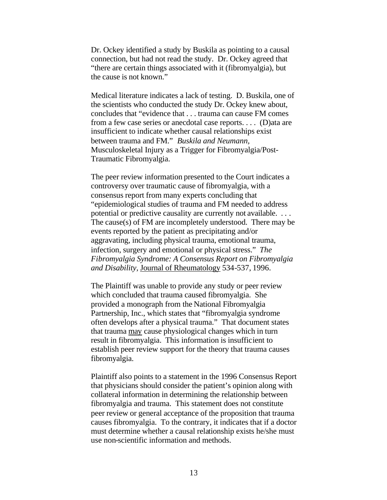Dr. Ockey identified a study by Buskila as pointing to a causal connection, but had not read the study. Dr. Ockey agreed that "there are certain things associated with it (fibromyalgia), but the cause is not known."

Medical literature indicates a lack of testing. D. Buskila, one of the scientists who conducted the study Dr. Ockey knew about, concludes that "evidence that . . . trauma can cause FM comes from a few case series or anecdotal case reports. . . . (D)ata are insufficient to indicate whether causal relationships exist between trauma and FM." *Buskila and Neumann,*  Musculoskeletal Injury as a Trigger for Fibromyalgia/Post-Traumatic Fibromyalgia.

The peer review information presented to the Court indicates a controversy over traumatic cause of fibromyalgia, with a consensus report from many experts concluding that "epidemiological studies of trauma and FM needed to address potential or predictive causality are currently not available. . . . The cause(s) of FM are incompletely understood. There may be events reported by the patient as precipitating and/or aggravating, including physical trauma, emotional trauma, infection, surgery and emotional or physical stress." *The Fibromyalgia Syndrome: A Consensus Report on Fibromyalgia and Disability,* Journal of Rheumatology 534-537, 1996.

The Plaintiff was unable to provide any study or peer review which concluded that trauma caused fibromyalgia. She provided a monograph from the National Fibromyalgia Partnership, Inc., which states that "fibromyalgia syndrome often develops after a physical trauma." That document states that trauma may cause physiological changes which in turn result in fibromyalgia. This information is insufficient to establish peer review support for the theory that trauma causes fibromyalgia.

Plaintiff also points to a statement in the 1996 Consensus Report that physicians should consider the patient's opinion along with collateral information in determining the relationship between fibromyalgia and trauma. This statement does not constitute peer review or general acceptance of the proposition that trauma causes fibromyalgia. To the contrary, it indicates that if a doctor must determine whether a causal relationship exists he/she must use non-scientific information and methods.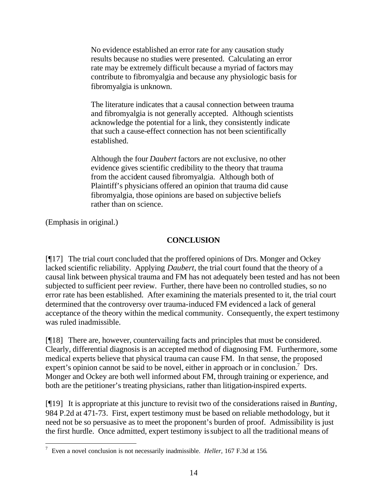No evidence established an error rate for any causation study results because no studies were presented. Calculating an error rate may be extremely difficult because a myriad of factors may contribute to fibromyalgia and because any physiologic basis for fibromyalgia is unknown.

The literature indicates that a causal connection between trauma and fibromyalgia is not generally accepted. Although scientists acknowledge the potential for a link, they consistently indicate that such a cause-effect connection has not been scientifically established.

Although the four *Daubert* factors are not exclusive, no other evidence gives scientific credibility to the theory that trauma from the accident caused fibromyalgia. Although both of Plaintiff's physicians offered an opinion that trauma did cause fibromyalgia, those opinions are based on subjective beliefs rather than on science.

(Emphasis in original.)

# **CONCLUSION**

[¶17] The trial court concluded that the proffered opinions of Drs. Monger and Ockey lacked scientific reliability. Applying *Daubert,* the trial court found that the theory of a causal link between physical trauma and FM has not adequately been tested and has not been subjected to sufficient peer review. Further, there have been no controlled studies, so no error rate has been established. After examining the materials presented to it, the trial court determined that the controversy over trauma-induced FM evidenced a lack of general acceptance of the theory within the medical community. Consequently, the expert testimony was ruled inadmissible.

[¶18] There are, however, countervailing facts and principles that must be considered. Clearly, differential diagnosis is an accepted method of diagnosing FM. Furthermore, some medical experts believe that physical trauma can cause FM. In that sense, the proposed expert's opinion cannot be said to be novel, either in approach or in conclusion.<sup>7</sup> Drs. Monger and Ockey are both well informed about FM, through training or experience, and both are the petitioner's treating physicians, rather than litigation-inspired experts.

[¶19] It is appropriate at this juncture to revisit two of the considerations raised in *Bunting*, 984 P.2d at 471-73. First, expert testimony must be based on reliable methodology, but it need not be so persuasive as to meet the proponent's burden of proof. Admissibility is just the first hurdle. Once admitted, expert testimony is subject to all the traditional means of

 7 Even a novel conclusion is not necessarily inadmissible. *Heller,* 167 F.3d at 156.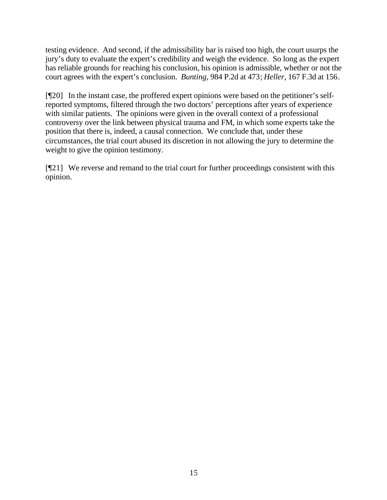testing evidence. And second, if the admissibility bar is raised too high, the court usurps the jury's duty to evaluate the expert's credibility and weigh the evidence. So long as the expert has reliable grounds for reaching his conclusion, his opinion is admissible, whether or not the court agrees with the expert's conclusion. *Bunting,* 984 P.2d at 473; *Heller,* 167 F.3d at 156.

[¶20] In the instant case, the proffered expert opinions were based on the petitioner's selfreported symptoms, filtered through the two doctors' perceptions after years of experience with similar patients. The opinions were given in the overall context of a professional controversy over the link between physical trauma and FM, in which some experts take the position that there is, indeed, a causal connection. We conclude that, under these circumstances, the trial court abused its discretion in not allowing the jury to determine the weight to give the opinion testimony.

[¶21] We reverse and remand to the trial court for further proceedings consistent with this opinion.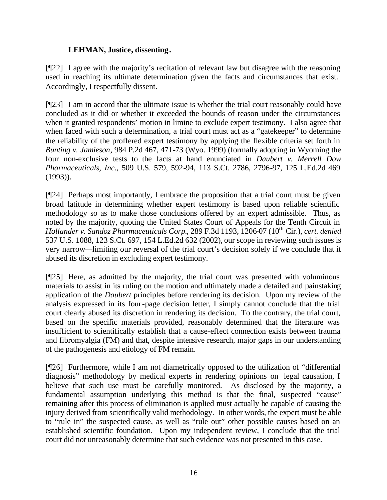### **LEHMAN, Justice, dissenting.**

[¶22] I agree with the majority's recitation of relevant law but disagree with the reasoning used in reaching its ultimate determination given the facts and circumstances that exist. Accordingly, I respectfully dissent.

[¶23] I am in accord that the ultimate issue is whether the trial court reasonably could have concluded as it did or whether it exceeded the bounds of reason under the circumstances when it granted respondents' motion in limine to exclude expert testimony. I also agree that when faced with such a determination, a trial court must act as a "gatekeeper" to determine the reliability of the proffered expert testimony by applying the flexible criteria set forth in *Bunting v. Jamieson*, 984 P.2d 467, 471-73 (Wyo. 1999) (formally adopting in Wyoming the four non-exclusive tests to the facts at hand enunciated in *Daubert v. Merrell Dow Pharmaceuticals, Inc.*, 509 U.S. 579, 592-94, 113 S.Ct. 2786, 2796-97, 125 L.Ed.2d 469 (1993)).

[¶24] Perhaps most importantly, I embrace the proposition that a trial court must be given broad latitude in determining whether expert testimony is based upon reliable scientific methodology so as to make those conclusions offered by an expert admissible. Thus, as noted by the majority, quoting the United States Court of Appeals for the Tenth Circuit in *Hollander v. Sandoz Pharmaceuticals Corp.*, 289 F.3d 1193, 1206-07 (10<sup>th</sup> Cir.), *cert. denied* 537 U.S. 1088, 123 S.Ct. 697, 154 L.Ed.2d 632 (2002), our scope in reviewing such issues is very narrow—limiting our reversal of the trial court's decision solely if we conclude that it abused its discretion in excluding expert testimony.

[¶25] Here, as admitted by the majority, the trial court was presented with voluminous materials to assist in its ruling on the motion and ultimately made a detailed and painstaking application of the *Daubert* principles before rendering its decision. Upon my review of the analysis expressed in its four-page decision letter, I simply cannot conclude that the trial court clearly abused its discretion in rendering its decision. To the contrary, the trial court, based on the specific materials provided, reasonably determined that the literature was insufficient to scientifically establish that a cause-effect connection exists between trauma and fibromyalgia (FM) and that, despite intensive research, major gaps in our understanding of the pathogenesis and etiology of FM remain.

[¶26] Furthermore, while I am not diametrically opposed to the utilization of "differential diagnosis" methodology by medical experts in rendering opinions on legal causation, I believe that such use must be carefully monitored. As disclosed by the majority, a fundamental assumption underlying this method is that the final, suspected "cause" remaining after this process of elimination is applied must actually be capable of causing the injury derived from scientifically valid methodology. In other words, the expert must be able to "rule in" the suspected cause, as well as "rule out" other possible causes based on an established scientific foundation. Upon my independent review, I conclude that the trial court did not unreasonably determine that such evidence was not presented in this case.